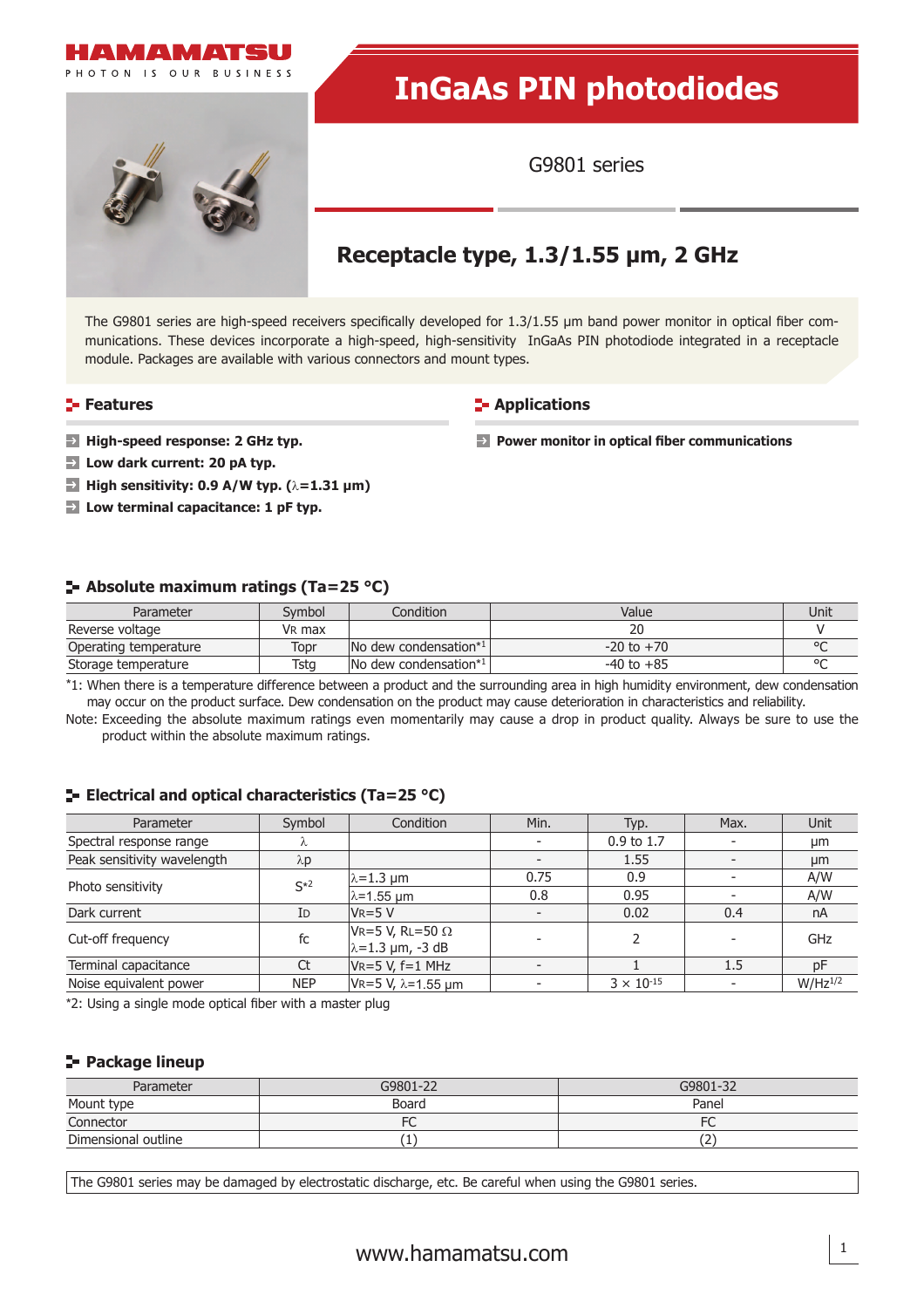

[www.hamamatsu.com](http://www.hamamatsu.com) 1

## **Package lineup**

| Parameter           | G9801-22 | G9801-32                        |
|---------------------|----------|---------------------------------|
| Mount type          | Board    | Panel                           |
| Connector           | FC       | FC<br>◡                         |
| Dimensional outline | ۰        | $\overline{\phantom{a}}$<br>. Z |

The G9801 series may be damaged by electrostatic discharge, etc. Be careful when using the G9801 series.

# **Low dark current: 20 pA typ. High sensitivity: 0.9 A/W typ. (**λ**=1.31 μm) Low terminal capacitance: 1 pF typ. Absolute maximum ratings (Ta=25 °C)**

module. Packages are available with various connectors and mount types.

| Operating temperature | Topr | INo dew condensation* | to $+70$                                                                                                                            | ΩC |
|-----------------------|------|-----------------------|-------------------------------------------------------------------------------------------------------------------------------------|----|
| Storage temperature   | Tsta | INo dew condensation* | , to +85                                                                                                                            |    |
|                       |      |                       | *1. When there is a temperature difference between a product and the surrounding area in high humidity environment dew condensation |    |

\*1: When there is a temperature difference between a product and the surrounding area in high humidity environment, dew condensation may occur on the product surface. Dew condensation on the product may cause deterioration in characteristics and reliability.

Note: Exceeding the absolute maximum ratings even momentarily may cause a drop in product quality. Always be sure to use the product within the absolute maximum ratings.

## **ELECTRICAL AND OPTICAL CHARACTERISTICS (Ta=25 °C)**

\*2: Using a single mode optical fiber with a master plug

| Parameter                   | Symbol      | Condition                                           | Min.                     | Typ.                | Max. | Unit         |
|-----------------------------|-------------|-----------------------------------------------------|--------------------------|---------------------|------|--------------|
| Spectral response range     | λ           |                                                     |                          | 0.9 to 1.7          |      | μm           |
| Peak sensitivity wavelength | $\lambda p$ |                                                     | $\overline{\phantom{0}}$ | 1.55                |      | µm           |
| Photo sensitivity           | $S*2$       | $\lambda = 1.3$ um                                  | 0.75                     | 0.9                 |      | A/W          |
|                             |             | $\lambda$ =1.55 µm                                  | 0.8                      | 0.95                |      | A/W          |
| Dark current                | ID          | $V_R = 5 V$                                         |                          | 0.02                | 0.4  | nA           |
| Cut-off frequency           | fc          | VR=5 V, RL=50 $\Omega$<br>$\lambda = 1.3$ µm, -3 dB | $\overline{\phantom{0}}$ |                     |      | GHz          |
| Terminal capacitance        | Ct          | $VR = 5 V, f = 1 MHz$                               |                          |                     | 1.5  | рF           |
| Noise equivalent power      | <b>NEP</b>  | $V = 5 V, \lambda = 1.55 \mu m$                     |                          | $3 \times 10^{-15}$ |      | $W/Hz^{1/2}$ |

| Parameter                                                                                                                            | Symbol             | Condition                                 | Value          | Unit |
|--------------------------------------------------------------------------------------------------------------------------------------|--------------------|-------------------------------------------|----------------|------|
| Reverse voltage                                                                                                                      | V <sub>R</sub> max |                                           | 20             |      |
| Operating temperature                                                                                                                | Topr               | $\sqrt{N}$ dew condensation <sup>*1</sup> | $-20$ to $+70$ |      |
| Storage temperature                                                                                                                  | Tsta               | $\sqrt{N}$ dew condensation <sup>*1</sup> | $-40$ to $+85$ |      |
| *1: When there is a temperature difference between a product and the surrounding area in high humidity environment, dew condensation |                    |                                           |                |      |

| <b>E</b> Absolute maximum ratings (Ta=25 °C) |                          |           |       |      |
|----------------------------------------------|--------------------------|-----------|-------|------|
| Parameter                                    | Svmbol                   | Condition | Value | Unit |
| Reverse voltage                              | V <sub>R</sub> max       |           | 20    |      |
|                                              | $\overline{\phantom{a}}$ | .         | ___ _ | $ -$ |

| <b>E</b> Absolute maximum ratings (Ta=25 °C) |  |  |
|----------------------------------------------|--|--|
|                                              |  |  |

The G9801 series are high-speed receivers specifically developed for 1.3/1.55 µm band power monitor in optical fiber communications. These devices incorporate a high-speed, high-sensitivity InGaAs PIN photodiode integrated in a receptacle

## **High-speed response: 2 GHz typ. Features**



PHOTON IS OUR RUSINESS

## **InGaAs PIN photodiodes**

G9801 series

## **Receptacle type, 1.3/1.55 μm, 2 GHz**

**E-** Applications

**Power monitor in optical fiber communications**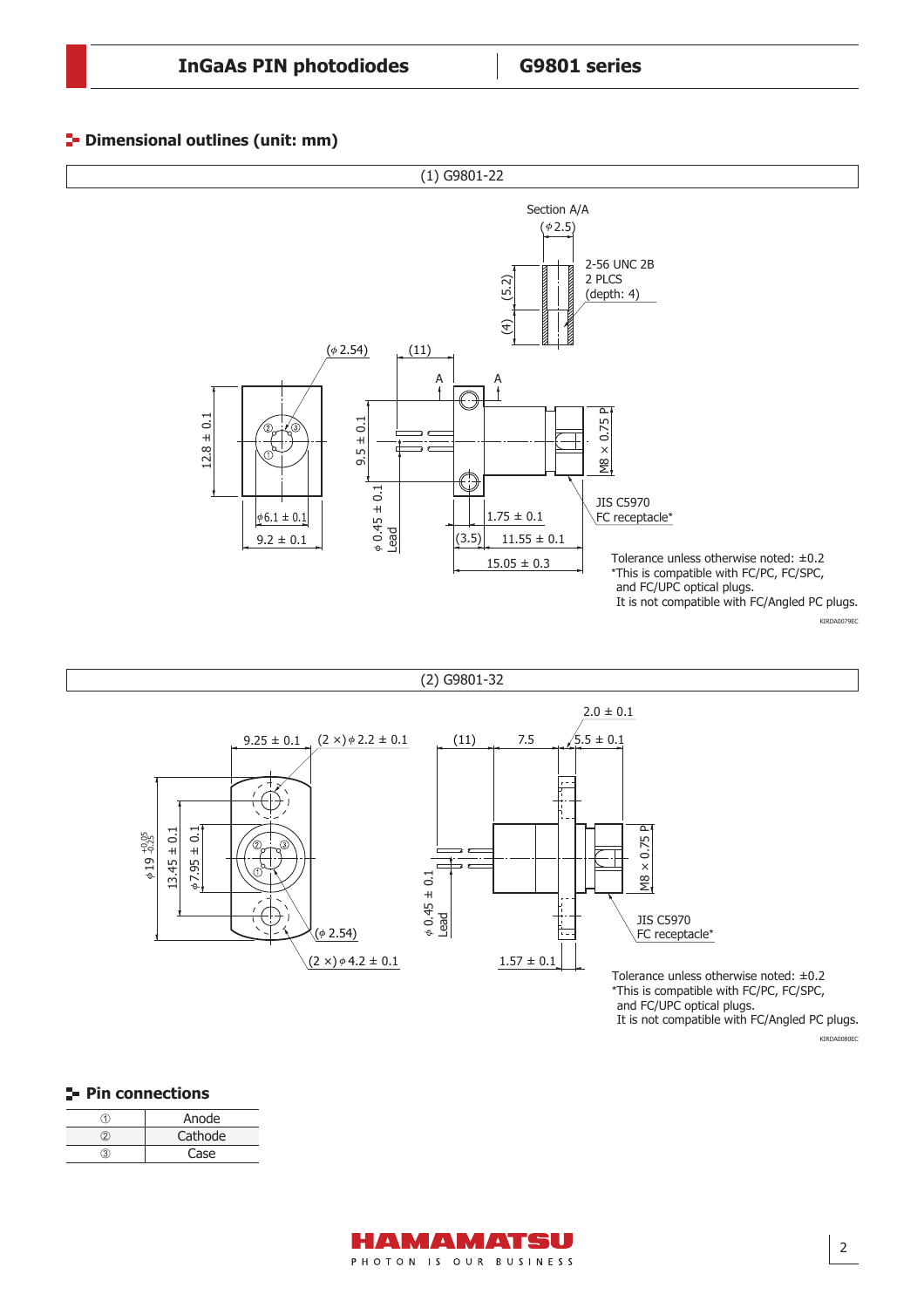#### **P** Dimensional outlines (unit: mm)





and FC/UPC optical plugs. It is not compatible with FC/Angled PC plugs.

**Pin connections** 

|    | Anode   |
|----|---------|
| ว  | Cathode |
| વે | Case    |

KIRDA0080EC